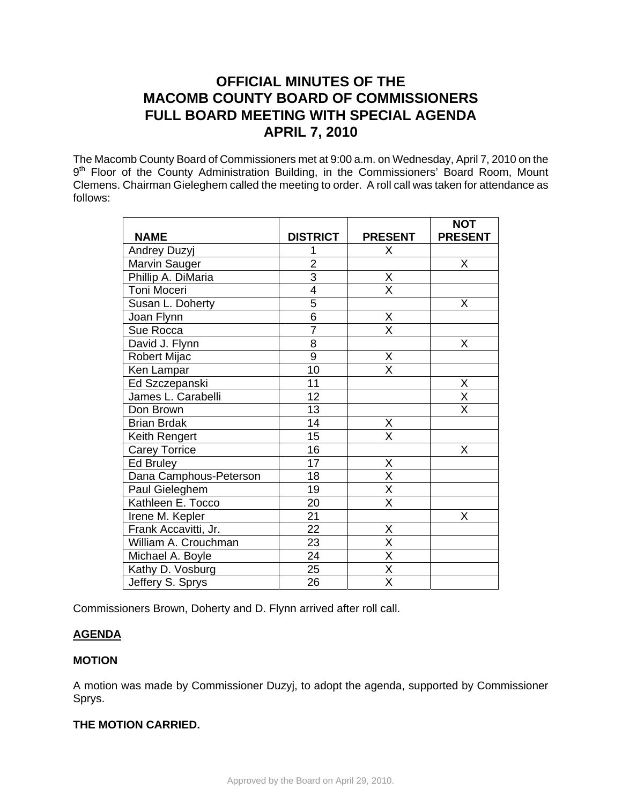# **OFFICIAL MINUTES OF THE MACOMB COUNTY BOARD OF COMMISSIONERS FULL BOARD MEETING WITH SPECIAL AGENDA APRIL 7, 2010**

The Macomb County Board of Commissioners met at 9:00 a.m. on Wednesday, April 7, 2010 on the 9<sup>th</sup> Floor of the County Administration Building, in the Commissioners' Board Room, Mount Clemens. Chairman Gieleghem called the meeting to order. A roll call was taken for attendance as follows:

|                        |                 |                                 | <b>NOT</b>                          |
|------------------------|-----------------|---------------------------------|-------------------------------------|
| <b>NAME</b>            | <b>DISTRICT</b> | <b>PRESENT</b>                  | <b>PRESENT</b>                      |
| <b>Andrey Duzyj</b>    |                 | X                               |                                     |
| Marvin Sauger          | $\overline{2}$  |                                 | X                                   |
| Phillip A. DiMaria     | $\overline{3}$  | $\frac{X}{X}$                   |                                     |
| Toni Moceri            | $\overline{4}$  |                                 |                                     |
| Susan L. Doherty       | 5               |                                 | Χ                                   |
| Joan Flynn             | $\overline{6}$  | $\frac{X}{X}$                   |                                     |
| Sue Rocca              | $\overline{7}$  |                                 |                                     |
| David J. Flynn         | $\overline{8}$  |                                 | Χ                                   |
| Robert Mijac           | $\overline{9}$  | $\frac{\mathsf{x}}{\mathsf{x}}$ |                                     |
| Ken Lampar             | 10              |                                 |                                     |
| Ed Szczepanski         | 11              |                                 | Χ                                   |
| James L. Carabelli     | 12              |                                 | $\frac{\overline{X}}{\overline{X}}$ |
| Don Brown              | 13              |                                 |                                     |
| <b>Brian Brdak</b>     | 14              | Χ                               |                                     |
| Keith Rengert          | 15              | $\overline{\mathsf{x}}$         |                                     |
| <b>Carey Torrice</b>   | 16              |                                 | X                                   |
| <b>Ed Bruley</b>       | 17              | X                               |                                     |
| Dana Camphous-Peterson | 18              | $\overline{\mathsf{x}}$         |                                     |
| Paul Gieleghem         | 19              | $\overline{\mathsf{x}}$         |                                     |
| Kathleen E. Tocco      | 20              | $\overline{\mathsf{X}}$         |                                     |
| Irene M. Kepler        | 21              |                                 | Χ                                   |
| Frank Accavitti, Jr.   | $\overline{22}$ | Χ                               |                                     |
| William A. Crouchman   | 23              | $\overline{\mathsf{x}}$         |                                     |
| Michael A. Boyle       | 24              | $\overline{X}$                  |                                     |
| Kathy D. Vosburg       | $\overline{25}$ | $\overline{\mathsf{x}}$         |                                     |
| Jeffery S. Sprys       | 26              | $\overline{\mathsf{x}}$         |                                     |

Commissioners Brown, Doherty and D. Flynn arrived after roll call.

# **AGENDA**

# **MOTION**

A motion was made by Commissioner Duzyj, to adopt the agenda, supported by Commissioner Sprys.

# **THE MOTION CARRIED.**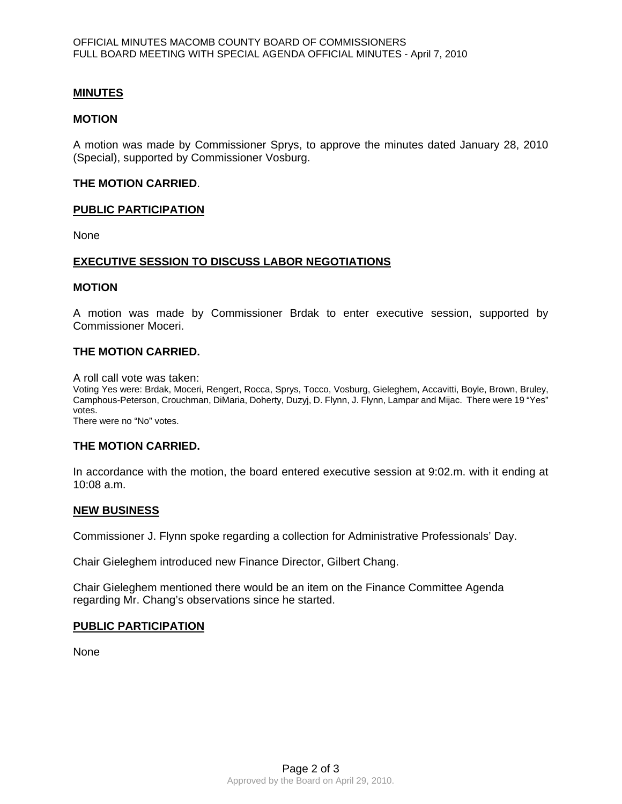## **MINUTES**

#### **MOTION**

A motion was made by Commissioner Sprys, to approve the minutes dated January 28, 2010 (Special), supported by Commissioner Vosburg.

#### **THE MOTION CARRIED**.

#### **PUBLIC PARTICIPATION**

None

## **EXECUTIVE SESSION TO DISCUSS LABOR NEGOTIATIONS**

#### **MOTION**

A motion was made by Commissioner Brdak to enter executive session, supported by Commissioner Moceri.

#### **THE MOTION CARRIED.**

A roll call vote was taken:

Voting Yes were: Brdak, Moceri, Rengert, Rocca, Sprys, Tocco, Vosburg, Gieleghem, Accavitti, Boyle, Brown, Bruley, Camphous-Peterson, Crouchman, DiMaria, Doherty, Duzyj, D. Flynn, J. Flynn, Lampar and Mijac. There were 19 "Yes" votes.

There were no "No" votes.

#### **THE MOTION CARRIED.**

In accordance with the motion, the board entered executive session at 9:02.m. with it ending at 10:08 a.m.

#### **NEW BUSINESS**

Commissioner J. Flynn spoke regarding a collection for Administrative Professionals' Day.

Chair Gieleghem introduced new Finance Director, Gilbert Chang.

Chair Gieleghem mentioned there would be an item on the Finance Committee Agenda regarding Mr. Chang's observations since he started.

#### **PUBLIC PARTICIPATION**

**None**